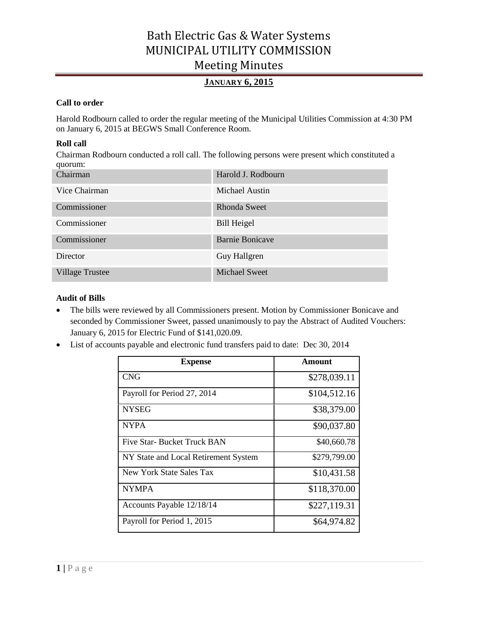## **JANUARY 6, 2015**

## **Call to order**

Harold Rodbourn called to order the regular meeting of the Municipal Utilities Commission at 4:30 PM on January 6, 2015 at BEGWS Small Conference Room.

### **Roll call**

Chairman Rodbourn conducted a roll call. The following persons were present which constituted a quorum:

| Chairman               | Harold J. Rodbourn     |
|------------------------|------------------------|
| Vice Chairman          | Michael Austin         |
| Commissioner           | Rhonda Sweet           |
| Commissioner           | <b>Bill Heigel</b>     |
| Commissioner           | <b>Barnie Bonicave</b> |
| Director               | Guy Hallgren           |
| <b>Village Trustee</b> | <b>Michael Sweet</b>   |

### **Audit of Bills**

- The bills were reviewed by all Commissioners present. Motion by Commissioner Bonicave and seconded by Commissioner Sweet, passed unanimously to pay the Abstract of Audited Vouchers: January 6, 2015 for Electric Fund of \$141,020.09.
- List of accounts payable and electronic fund transfers paid to date: Dec 30, 2014

| <b>Expense</b>                       | Amount       |
|--------------------------------------|--------------|
| <b>CNG</b>                           | \$278,039.11 |
| Payroll for Period 27, 2014          | \$104,512.16 |
| <b>NYSEG</b>                         | \$38,379.00  |
| <b>NYPA</b>                          | \$90,037.80  |
| Five Star- Bucket Truck BAN          | \$40,660.78  |
| NY State and Local Retirement System | \$279,799.00 |
| New York State Sales Tax             | \$10,431.58  |
| <b>NYMPA</b>                         | \$118,370.00 |
| Accounts Payable 12/18/14            | \$227,119.31 |
| Payroll for Period 1, 2015           | \$64,974.82  |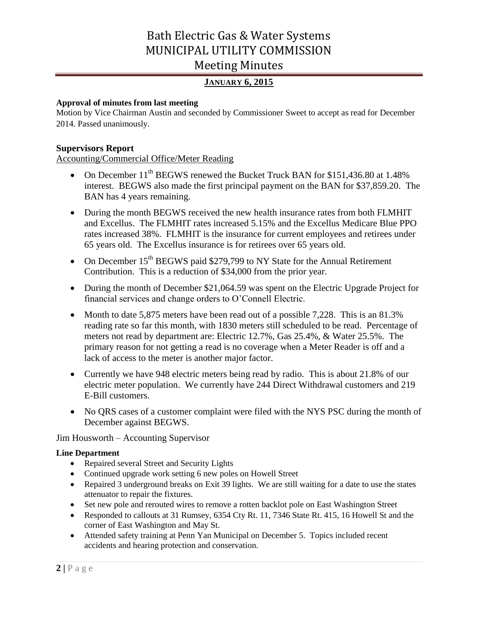## **JANUARY 6, 2015**

## **Approval of minutes from last meeting**

Motion by Vice Chairman Austin and seconded by Commissioner Sweet to accept as read for December 2014. Passed unanimously.

### **Supervisors Report**

Accounting/Commercial Office/Meter Reading

- On December 11<sup>th</sup> BEGWS renewed the Bucket Truck BAN for \$151,436.80 at 1.48% interest. BEGWS also made the first principal payment on the BAN for \$37,859.20. The BAN has 4 years remaining.
- During the month BEGWS received the new health insurance rates from both FLMHIT and Excellus. The FLMHIT rates increased 5.15% and the Excellus Medicare Blue PPO rates increased 38%. FLMHIT is the insurance for current employees and retirees under 65 years old. The Excellus insurance is for retirees over 65 years old.
- On December  $15<sup>th</sup>$  BEGWS paid \$279,799 to NY State for the Annual Retirement Contribution. This is a reduction of \$34,000 from the prior year.
- During the month of December \$21,064.59 was spent on the Electric Upgrade Project for financial services and change orders to O'Connell Electric.
- Month to date 5,875 meters have been read out of a possible 7,228. This is an 81.3% reading rate so far this month, with 1830 meters still scheduled to be read. Percentage of meters not read by department are: Electric 12.7%, Gas 25.4%, & Water 25.5%. The primary reason for not getting a read is no coverage when a Meter Reader is off and a lack of access to the meter is another major factor.
- Currently we have 948 electric meters being read by radio. This is about 21.8% of our electric meter population. We currently have 244 Direct Withdrawal customers and 219 E-Bill customers.
- No QRS cases of a customer complaint were filed with the NYS PSC during the month of December against BEGWS.

Jim Housworth – Accounting Supervisor

### **Line Department**

- Repaired several Street and Security Lights
- Continued upgrade work setting 6 new poles on Howell Street
- Repaired 3 underground breaks on Exit 39 lights. We are still waiting for a date to use the states attenuator to repair the fixtures.
- Set new pole and rerouted wires to remove a rotten backlot pole on East Washington Street
- Responded to callouts at 31 Rumsey, 6354 Cty Rt. 11, 7346 State Rt. 415, 16 Howell St and the corner of East Washington and May St.
- Attended safety training at Penn Yan Municipal on December 5. Topics included recent accidents and hearing protection and conservation.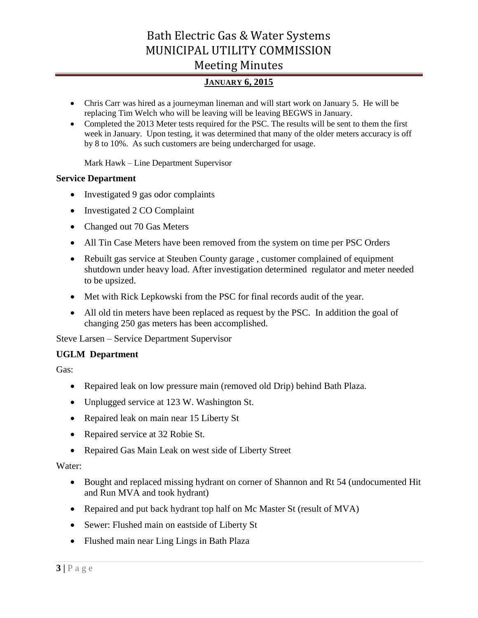## **JANUARY 6, 2015**

- Chris Carr was hired as a journeyman lineman and will start work on January 5. He will be replacing Tim Welch who will be leaving will be leaving BEGWS in January.
- Completed the 2013 Meter tests required for the PSC. The results will be sent to them the first week in January. Upon testing, it was determined that many of the older meters accuracy is off by 8 to 10%. As such customers are being undercharged for usage.

Mark Hawk – Line Department Supervisor

## **Service Department**

- Investigated 9 gas odor complaints
- Investigated 2 CO Complaint
- Changed out 70 Gas Meters
- All Tin Case Meters have been removed from the system on time per PSC Orders
- Rebuilt gas service at Steuben County garage , customer complained of equipment shutdown under heavy load. After investigation determined regulator and meter needed to be upsized.
- Met with Rick Lepkowski from the PSC for final records audit of the year.
- All old tin meters have been replaced as request by the PSC. In addition the goal of changing 250 gas meters has been accomplished.

Steve Larsen – Service Department Supervisor

## **UGLM Department**

Gas:

- Repaired leak on low pressure main (removed old Drip) behind Bath Plaza.
- Unplugged service at 123 W. Washington St.
- Repaired leak on main near 15 Liberty St
- Repaired service at 32 Robie St.
- Repaired Gas Main Leak on west side of Liberty Street

## Water:

- Bought and replaced missing hydrant on corner of Shannon and Rt 54 (undocumented Hit and Run MVA and took hydrant)
- Repaired and put back hydrant top half on Mc Master St (result of MVA)
- Sewer: Flushed main on eastside of Liberty St
- Flushed main near Ling Lings in Bath Plaza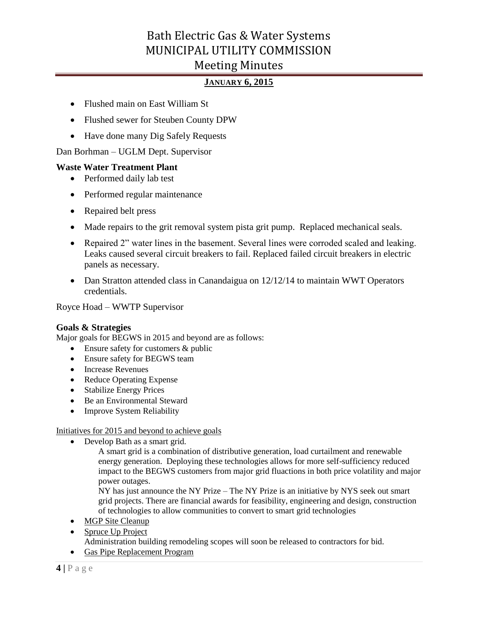## **JANUARY 6, 2015**

- Flushed main on East William St
- Flushed sewer for Steuben County DPW
- Have done many Dig Safely Requests

Dan Borhman – UGLM Dept. Supervisor

## **Waste Water Treatment Plant**

- Performed daily lab test
- Performed regular maintenance
- Repaired belt press
- Made repairs to the grit removal system pista grit pump. Replaced mechanical seals.
- Repaired 2" water lines in the basement. Several lines were corroded scaled and leaking. Leaks caused several circuit breakers to fail. Replaced failed circuit breakers in electric panels as necessary.
- Dan Stratton attended class in Canandaigua on 12/12/14 to maintain WWT Operators credentials.

Royce Hoad – WWTP Supervisor

## **Goals & Strategies**

Major goals for BEGWS in 2015 and beyond are as follows:

- Ensure safety for customers & public
- Ensure safety for BEGWS team
- Increase Revenues
- Reduce Operating Expense
- Stabilize Energy Prices
- Be an Environmental Steward
- Improve System Reliability

Initiatives for 2015 and beyond to achieve goals

• Develop Bath as a smart grid.

A smart grid is a combination of distributive generation, load curtailment and renewable energy generation. Deploying these technologies allows for more self-sufficiency reduced impact to the BEGWS customers from major grid fluactions in both price volatility and major power outages.

NY has just announce the NY Prize – The NY Prize is an initiative by NYS seek out smart grid projects. There are financial awards for feasibility, engineering and design, construction of technologies to allow communities to convert to smart grid technologies

- MGP Site Cleanup
- Spruce Up Project Administration building remodeling scopes will soon be released to contractors for bid.
- Gas Pipe Replacement Program